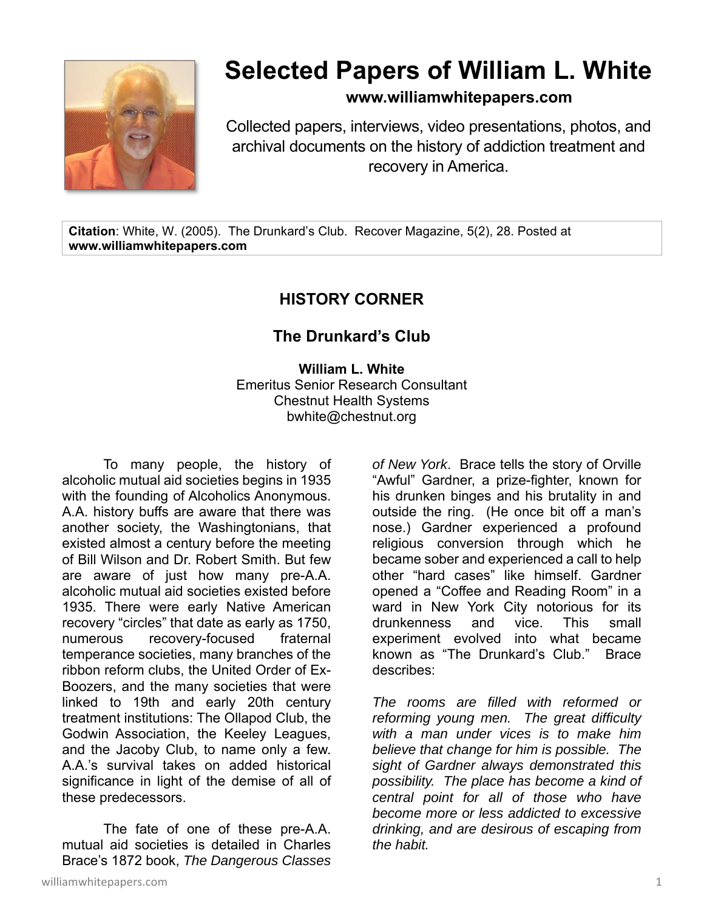

## **Selected Papers of William L. White**

**www.williamwhitepapers.com**

Collected papers, interviews, video presentations, photos, and archival documents on the history of addiction treatment and recovery in America.

**Citation**: White, W. (2005). The Drunkard's Club. Recover Magazine, 5(2), 28. Posted at **www.williamwhitepapers.com** 

## **HISTORY CORNER**

## **The Drunkard's Club**

**William L. White**  Emeritus Senior Research Consultant Chestnut Health Systems bwhite@chestnut.org

To many people, the history of alcoholic mutual aid societies begins in 1935 with the founding of Alcoholics Anonymous. A.A. history buffs are aware that there was another society, the Washingtonians, that existed almost a century before the meeting of Bill Wilson and Dr. Robert Smith. But few are aware of just how many pre-A.A. alcoholic mutual aid societies existed before 1935. There were early Native American recovery "circles" that date as early as 1750, numerous recovery-focused fraternal temperance societies, many branches of the ribbon reform clubs, the United Order of Ex-Boozers, and the many societies that were linked to 19th and early 20th century treatment institutions: The Ollapod Club, the Godwin Association, the Keeley Leagues, and the Jacoby Club, to name only a few. A.A.'s survival takes on added historical significance in light of the demise of all of these predecessors.

The fate of one of these pre-A.A. mutual aid societies is detailed in Charles Brace's 1872 book, *The Dangerous Classes* 

*of New York*. Brace tells the story of Orville "Awful" Gardner, a prize-fighter, known for his drunken binges and his brutality in and outside the ring. (He once bit off a man's nose.) Gardner experienced a profound religious conversion through which he became sober and experienced a call to help other "hard cases" like himself. Gardner opened a "Coffee and Reading Room" in a ward in New York City notorious for its drunkenness and vice. This small experiment evolved into what became known as "The Drunkard's Club." Brace describes:

*The rooms are filled with reformed or reforming young men. The great difficulty with a man under vices is to make him believe that change for him is possible. The sight of Gardner always demonstrated this possibility. The place has become a kind of central point for all of those who have become more or less addicted to excessive drinking, and are desirous of escaping from the habit.*